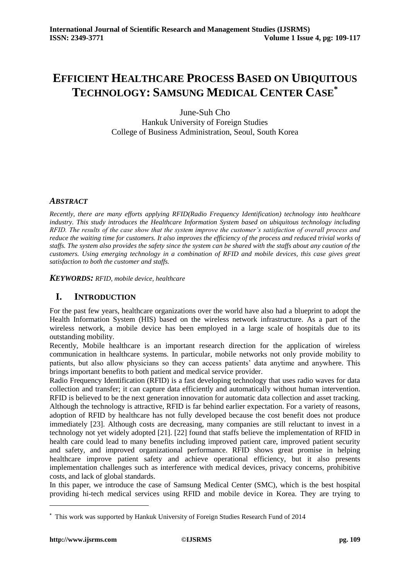# **EFFICIENT HEALTHCARE PROCESS BASED ON UBIQUITOUS TECHNOLOGY: SAMSUNG MEDICAL CENTER CASE\***

June-Suh Cho Hankuk University of Foreign Studies College of Business Administration, Seoul, South Korea

# *ABSTRACT*

*Recently, there are many efforts applying RFID(Radio Frequency Identification) technology into healthcare industry. This study introduces the Healthcare Information System based on ubiquitous technology including RFID. The results of the case show that the system improve the customer's satisfaction of overall process and reduce the waiting time for customers. It also improves the efficiency of the process and reduced trivial works of staffs. The system also provides the safety since the system can be shared with the staffs about any caution of the customers. Using emerging technology in a combination of RFID and mobile devices, this case gives great satisfaction to both the customer and staffs.* 

*KEYWORDS: RFID, mobile device, healthcare*

# **I. INTRODUCTION**

For the past few years, healthcare organizations over the world have also had a blueprint to adopt the Health Information System (HIS) based on the wireless network infrastructure. As a part of the wireless network, a mobile device has been employed in a large scale of hospitals due to its outstanding mobility.

Recently, Mobile healthcare is an important research direction for the application of wireless communication in healthcare systems. In particular, mobile networks not only provide mobility to patients, but also allow physicians so they can access patients' data anytime and anywhere. This brings important benefits to both patient and medical service provider.

Radio Frequency Identification (RFID) is a fast developing technology that uses radio waves for data collection and transfer; it can capture data efficiently and automatically without human intervention. RFID is believed to be the next generation innovation for automatic data collection and asset tracking. Although the technology is attractive, RFID is far behind earlier expectation. For a variety of reasons, adoption of RFID by healthcare has not fully developed because the cost benefit does not produce immediately [23]. Although costs are decreasing, many companies are still reluctant to invest in a technology not yet widely adopted [21]. [22] found that staffs believe the implementation of RFID in health care could lead to many benefits including improved patient care, improved patient security and safety, and improved organizational performance. RFID shows great promise in helping healthcare improve patient safety and achieve operational efficiency, but it also presents implementation challenges such as interference with medical devices, privacy concerns, prohibitive costs, and lack of global standards.

In this paper, we introduce the case of Samsung Medical Center (SMC), which is the best hospital providing hi-tech medical services using RFID and mobile device in Korea. They are trying to

-

**<sup>\*</sup>** This work was supported by Hankuk University of Foreign Studies Research Fund of 2014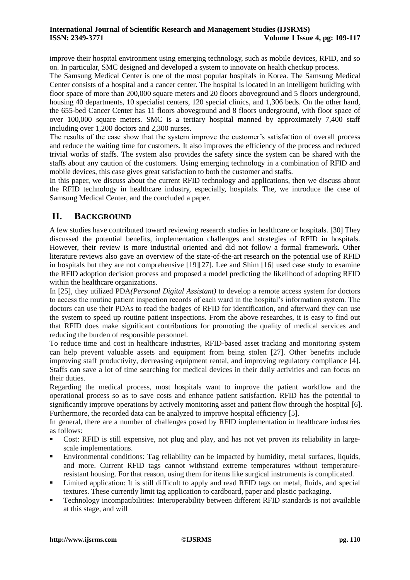improve their hospital environment using emerging technology, such as mobile devices, RFID, and so on. In particular, SMC designed and developed a system to innovate on health checkup process.

The Samsung Medical Center is one of the most popular hospitals in Korea. The Samsung Medical Center consists of a hospital and a cancer center. The hospital is located in an intelligent building with floor space of more than 200,000 square meters and 20 floors aboveground and 5 floors underground, housing 40 departments, 10 specialist centers, 120 special clinics, and 1,306 beds. On the other hand, the 655-bed Cancer Center has 11 floors aboveground and 8 floors underground, with floor space of over 100,000 square meters. SMC is a tertiary hospital manned by approximately 7,400 staff including over 1,200 doctors and 2,300 nurses.

The results of the case show that the system improve the customer's satisfaction of overall process and reduce the waiting time for customers. It also improves the efficiency of the process and reduced trivial works of staffs. The system also provides the safety since the system can be shared with the staffs about any caution of the customers. Using emerging technology in a combination of RFID and mobile devices, this case gives great satisfaction to both the customer and staffs.

In this paper, we discuss about the current RFID technology and applications, then we discuss about the RFID technology in healthcare industry, especially, hospitals. The, we introduce the case of Samsung Medical Center, and the concluded a paper.

# **II. BACKGROUND**

A few studies have contributed toward reviewing research studies in healthcare or hospitals. [\[30\]](#page-8-0) They discussed the potential benefits, implementation challenges and strategies of RFID in hospitals. However, their review is more industrial oriented and did not follow a formal framework. Other literature reviews also gave an overview of the state-of-the-art research on the potential use of RFID in hospitals but they are not comprehensive [\[19\]\[27\].](#page-7-0) Lee and Shim [\[16\]](#page-7-1) used case study to examine the RFID adoption decision process and proposed a model predicting the likelihood of adopting RFID within the healthcare organizations.

In [\[25\],](#page-8-1) they utilized PDA*(Personal Digital Assistant)* to develop a remote access system for doctors to access the routine patient inspection records of each ward in the hospital's information system. The doctors can use their PDAs to read the badges of RFID for identification, and afterward they can use the system to speed up routine patient inspections. From the above researches, it is easy to find out that RFID does make significant contributions for promoting the quality of medical services and reducing the burden of responsible personnel.

To reduce time and cost in healthcare industries, RFID-based asset tracking and monitoring system can help prevent valuable assets and equipment from being stolen [\[27\].](#page-8-2) Other benefits include improving staff productivity, decreasing equipment rental, and improving regulatory compliance [\[4\].](#page-7-2) Staffs can save a lot of time searching for medical devices in their daily activities and can focus on their duties.

Regarding the medical process, most hospitals want to improve the patient workflow and the operational process so as to save costs and enhance patient satisfaction. RFID has the potential to significantly improve operations by actively monitoring asset and patient flow through the hospital [\[6\].](#page-7-3) Furthermore, the recorded data can be analyzed to improve hospital efficiency [\[5\].](#page-7-4)

In general, there are a number of challenges posed by RFID implementation in healthcare industries as follows:

- Cost: RFID is still expensive, not plug and play, and has not yet proven its reliability in largescale implementations.
- Environmental conditions: Tag reliability can be impacted by humidity, metal surfaces, liquids, and more. Current RFID tags cannot withstand extreme temperatures without temperatureresistant housing. For that reason, using them for items like surgical instruments is complicated.
- Limited application: It is still difficult to apply and read RFID tags on metal, fluids, and special textures. These currently limit tag application to cardboard, paper and plastic packaging.
- Technology incompatibilities: Interoperability between different RFID standards is not available at this stage, and will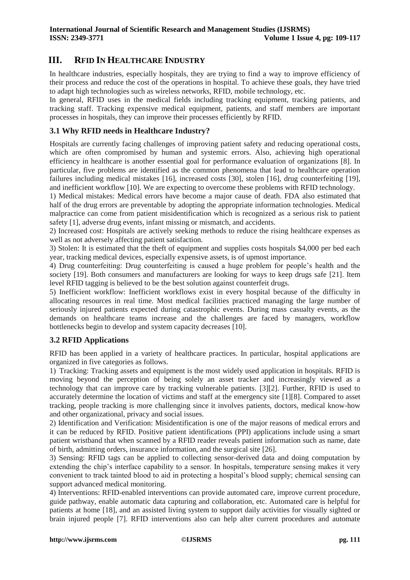# **III. RFID IN HEALTHCARE INDUSTRY**

In healthcare industries, especially hospitals, they are trying to find a way to improve efficiency of their process and reduce the cost of the operations in hospital. To achieve these goals, they have tried to adapt high technologies such as wireless networks, RFID, mobile technology, etc.

In general, RFID uses in the medical fields including tracking equipment, tracking patients, and tracking staff. Tracking expensive medical equipment, patients, and staff members are important processes in hospitals, they can improve their processes efficiently by RFID.

### **3.1 Why RFID needs in Healthcare Industry?**

Hospitals are currently facing challenges of improving patient safety and reducing operational costs, which are often compromised by human and systemic errors. Also, achieving high operational efficiency in healthcare is another essential goal for performance evaluation of organizations [\[8\].](#page-7-5) In particular, five problems are identified as the common phenomena that lead to healthcare operation failures including medical mistakes [\[16\],](#page-7-1) increased costs [\[30\],](#page-8-0) stolen [\[16\],](#page-7-1) drug counterfeiting [\[19\],](#page-7-0) and inefficient workflow [\[10\].](#page-7-6) We are expecting to overcome these problems with RFID technology.

1) Medical mistakes: Medical errors have become a major cause of death. FDA also estimated that half of the drug errors are preventable by adopting the appropriate information technologies. Medical malpractice can come from patient misidentification which is recognized as a serious risk to patient safety [\[1\],](#page-7-7) adverse drug events, infant missing or mismatch, and accidents.

2) Increased cost: Hospitals are actively seeking methods to reduce the rising healthcare expenses as well as not adversely affecting patient satisfaction.

3) Stolen: It is estimated that the theft of equipment and supplies costs hospitals \$4,000 per bed each year, tracking medical devices, especially expensive assets, is of upmost importance.

4) Drug counterfeiting: Drug counterfeiting is caused a huge problem for people's health and the society [\[19\].](#page-7-0) Both consumers and manufacturers are looking for ways to keep drugs safe [\[21\].](#page-7-8) Item level RFID tagging is believed to be the best solution against counterfeit drugs.

5) Inefficient workflow: Inefficient workflows exist in every hospital because of the difficulty in allocating resources in real time. Most medical facilities practiced managing the large number of seriously injured patients expected during catastrophic events. During mass casualty events, as the demands on healthcare teams increase and the challenges are faced by managers, workflow bottlenecks begin to develop and system capacity decreases [\[10\].](#page-7-6)

## **3.2 RFID Applications**

RFID has been applied in a variety of healthcare practices. In particular, hospital applications are organized in five categories as follows.

1) Tracking: Tracking assets and equipment is the most widely used application in hospitals. RFID is moving beyond the perception of being solely an asset tracker and increasingly viewed as a technology that can improve care by tracking vulnerable patients. [\[3\]\[2\].](#page-7-9) Further, RFID is used to accurately determine the location of victims and staff at the emergency site [\[1\]\[8\].](#page-7-7) Compared to asset tracking, people tracking is more challenging since it involves patients, doctors, medical know-how and other organizational, privacy and social issues.

2) Identification and Verification: Misidentification is one of the major reasons of medical errors and it can be reduced by RFID. Positive patient identifications (PPI) applications include using a smart patient wristband that when scanned by a RFID reader reveals patient information such as name, date of birth, admitting orders, insurance information, and the surgical site [\[26\].](#page-8-3)

3) Sensing: RFID tags can be applied to collecting sensor-derived data and doing computation by extending the chip's interface capability to a sensor. In hospitals, temperature sensing makes it very convenient to track tainted blood to aid in protecting a hospital's blood supply; chemical sensing can support advanced medical monitoring.

4) Interventions: RFID-enabled interventions can provide automated care, improve current procedure, guide pathway, enable automatic data capturing and collaboration, etc. Automated care is helpful for patients at home [\[18\],](#page-7-10) and an assisted living system to support daily activities for visually sighted or brain injured people [\[7\].](#page-7-11) RFID interventions also can help alter current procedures and automate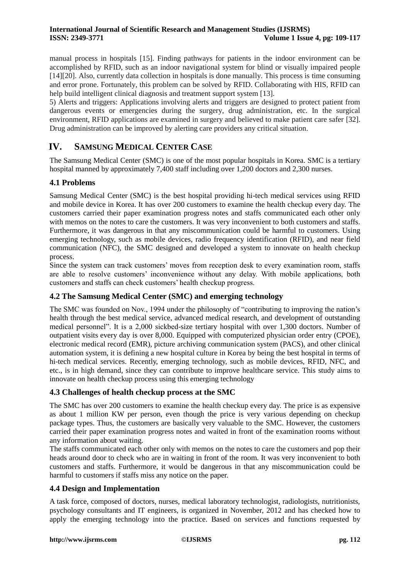manual process in hospitals [\[15\].](#page-7-12) Finding pathways for patients in the indoor environment can be accomplished by RFID, such as an indoor navigational system for blind or visually impaired people [\[14\]\[20\].](#page-7-13) Also, currently data collection in hospitals is done manually. This process is time consuming and error prone. Fortunately, this problem can be solved by RFID. Collaborating with HIS, RFID can help build intelligent clinical diagnosis and treatment support system [\[13\].](#page-7-14)

5) Alerts and triggers: Applications involving alerts and triggers are designed to protect patient from dangerous events or emergencies during the surgery, drug administration, etc. In the surgical environment, RFID applications are examined in surgery and believed to make patient care safer [\[32\].](#page-8-4) Drug administration can be improved by alerting care providers any critical situation.

# **IV. SAMSUNG MEDICAL CENTER CASE**

The Samsung Medical Center (SMC) is one of the most popular hospitals in Korea. SMC is a tertiary hospital manned by approximately 7,400 staff including over 1,200 doctors and 2,300 nurses.

#### **4.1 Problems**

Samsung Medical Center (SMC) is the best hospital providing hi-tech medical services using RFID and mobile device in Korea. It has over 200 customers to examine the health checkup every day. The customers carried their paper examination progress notes and staffs communicated each other only with memos on the notes to care the customers. It was very inconvenient to both customers and staffs. Furthermore, it was dangerous in that any miscommunication could be harmful to customers. Using emerging technology, such as mobile devices, radio frequency identification (RFID), and near field communication (NFC), the SMC designed and developed a system to innovate on health checkup process.

Since the system can track customers' moves from reception desk to every examination room, staffs are able to resolve customers' inconvenience without any delay. With mobile applications, both customers and staffs can check customers' health checkup progress.

#### **4.2 The Samsung Medical Center (SMC) and emerging technology**

The SMC was founded on Nov., 1994 under the philosophy of "contributing to improving the nation's health through the best medical service, advanced medical research, and development of outstanding medical personnel". It is a 2,000 sickbed-size tertiary hospital with over 1,300 doctors. Number of outpatient visits every day is over 8,000. Equipped with computerized physician order entry (CPOE), electronic medical record (EMR), picture archiving communication system (PACS), and other clinical automation system, it is defining a new hospital culture in Korea by being the best hospital in terms of hi-tech medical services. Recently, emerging technology, such as mobile devices, RFID, NFC, and etc., is in high demand, since they can contribute to improve healthcare service. This study aims to innovate on health checkup process using this emerging technology

#### **4.3 Challenges of health checkup process at the SMC**

The SMC has over 200 customers to examine the health checkup every day. The price is as expensive as about 1 million KW per person, even though the price is very various depending on checkup package types. Thus, the customers are basically very valuable to the SMC. However, the customers carried their paper examination progress notes and waited in front of the examination rooms without any information about waiting.

The staffs communicated each other only with memos on the notes to care the customers and pop their heads around door to check who are in waiting in front of the room. It was very inconvenient to both customers and staffs. Furthermore, it would be dangerous in that any miscommunication could be harmful to customers if staffs miss any notice on the paper.

#### **4.4 Design and Implementation**

A task force, composed of doctors, nurses, medical laboratory technologist, radiologists, nutritionists, psychology consultants and IT engineers, is organized in November, 2012 and has checked how to apply the emerging technology into the practice. Based on services and functions requested by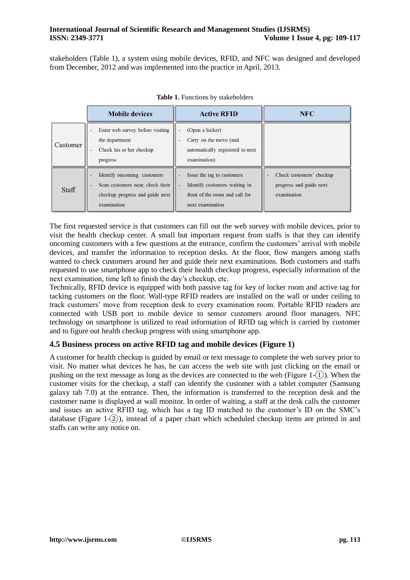stakeholders (Table 1), a system using mobile devices, RFID, and NFC was designed and developed from December, 2012 and was implemented into the practice in April, 2013.

|          | <b>Mobile devices</b>                                                                                             | <b>Active RFID</b>                                                                                                | <b>NFC</b>                                                         |
|----------|-------------------------------------------------------------------------------------------------------------------|-------------------------------------------------------------------------------------------------------------------|--------------------------------------------------------------------|
| Customer | Enter web survey before visiting<br>the department<br>Check his or her checkup<br>progress                        | (Open a locker)<br>Carry on the move (and<br>automatically registered to next<br>examination)                     |                                                                    |
| Staff    | Identify oncoming customers<br>Scan customers near, check their<br>checkup progress and guide next<br>examination | Issue the tag to customers<br>Identify customers waiting in<br>front of the room and call for<br>next examination | Check customers' checkup<br>progress and guide next<br>examination |

The first requested service is that customers can fill out the web survey with mobile devices, prior to visit the health checkup center. A small but important request from staffs is that they can identify oncoming customers with a few questions at the entrance, confirm the customers' arrival with mobile devices, and transfer the information to reception desks. At the floor, flow mangers among staffs wanted to check customers around her and guide their next examinations. Both customers and staffs requested to use smartphone app to check their health checkup progress, especially information of the next examination, time left to finish the day's checkup, etc.

Technically, RFID device is equipped with both passive tag for key of locker room and active tag for tacking customers on the floor. Wall-type RFID readers are installed on the wall or under ceiling to track customers' move from reception desk to every examination room. Portable RFID readers are connected with USB port to mobile device to sensor customers around floor managers. NFC technology on smartphone is utilized to read information of RFID tag which is carried by customer and to figure out health checkup progress with using smartphone app.

## **4.5 Business process on active RFID tag and mobile devices (Figure 1)**

A customer for health checkup is guided by email or text message to complete the web survey prior to visit. No matter what devices he has, he can access the web site with just clicking on the email or pushing on the text message as long as the devices are connected to the web (Figure 1- $(1)$ ). When the customer visits for the checkup, a staff can identify the customer with a tablet computer (Samsung galaxy tab 7.0) at the entrance. Then, the information is transferred to the reception desk and the customer name is displayed at wall monitor. In order of waiting, a staff at the desk calls the customer and issues an active RFID tag, which has a tag ID matched to the customer's ID on the SMC's database (Figure 1- $(2)$ ), instead of a paper chart which scheduled checkup items are printed in and staffs can write any notice on.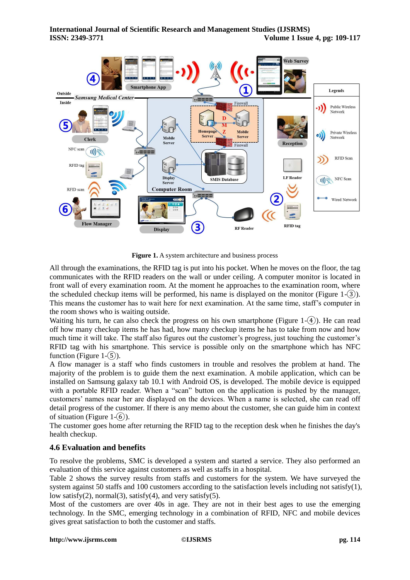

**Figure 1.** A system architecture and business process

All through the examinations, the RFID tag is put into his pocket. When he moves on the floor, the tag communicates with the RFID readers on the wall or under ceiling. A computer monitor is located in front wall of every examination room. At the moment he approaches to the examination room, where the scheduled checkup items will be performed, his name is displayed on the monitor (Figure 1- $(3)$ ). This means the customer has to wait here for next examination. At the same time, staff's computer in the room shows who is waiting outside.

Waiting his turn, he can also check the progress on his own smartphone (Figure 1- $(4)$ ). He can read off how many checkup items he has had, how many checkup items he has to take from now and how much time it will take. The staff also figures out the customer's progress, just touching the customer's RFID tag with his smartphone. This service is possible only on the smartphone which has NFC function (Figure  $1-(5)$ ).

A flow manager is a staff who finds customers in trouble and resolves the problem at hand. The majority of the problem is to guide them the next examination. A mobile application, which can be installed on Samsung galaxy tab 10.1 with Android OS, is developed. The mobile device is equipped with a portable RFID reader. When a "scan" button on the application is pushed by the manager, customers' names near her are displayed on the devices. When a name is selected, she can read off detail progress of the customer. If there is any memo about the customer, she can guide him in context of situation (Figure  $1-(6)$ ).

The customer goes home after returning the RFID tag to the reception desk when he finishes the day's health checkup.

## **4.6 Evaluation and benefits**

To resolve the problems, SMC is developed a system and started a service. They also performed an evaluation of this service against customers as well as staffs in a hospital.

Table 2 shows the survey results from staffs and customers for the system. We have surveyed the system against 50 staffs and 100 customers according to the satisfaction levels including not satisfy(1), low satisfy(2), normal(3), satisfy(4), and very satisfy(5).

Most of the customers are over 40s in age. They are not in their best ages to use the emerging technology. In the SMC, emerging technology in a combination of RFID, NFC and mobile devices gives great satisfaction to both the customer and staffs.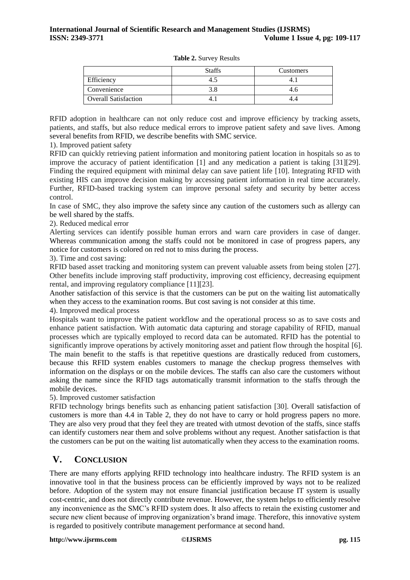|                             | <b>Staffs</b> | <b>Customers</b> |
|-----------------------------|---------------|------------------|
| Efficiency                  |               |                  |
| Convenience                 |               |                  |
| <b>Overall Satisfaction</b> |               |                  |

**Table 2.** Survey Results

RFID adoption in healthcare can not only reduce cost and improve efficiency by tracking assets, patients, and staffs, but also reduce medical errors to improve patient safety and save lives. Among several benefits from RFID, we describe benefits with SMC service.

1). Improved patient safety

RFID can quickly retrieving patient information and monitoring patient location in hospitals so as to improve the accuracy of patient identification [\[1\]](#page-7-7) and any medication a patient is taking [\[31\]\[29\].](#page-8-5) Finding the required equipment with minimal delay can save patient life [\[10\].](#page-7-6) Integrating RFID with existing HIS can improve decision making by accessing patient information in real time accurately. Further, RFID-based tracking system can improve personal safety and security by better access control.

In case of SMC, they also improve the safety since any caution of the customers such as allergy can be well shared by the staffs.

2). Reduced medical error

Alerting services can identify possible human errors and warn care providers in case of danger. Whereas communication among the staffs could not be monitored in case of progress papers, any notice for customers is colored on red not to miss during the process.

3). Time and cost saving:

RFID based asset tracking and monitoring system can prevent valuable assets from being stolen [\[27\].](#page-8-2) Other benefits include improving staff productivity, improving cost efficiency, decreasing equipment rental, and improving regulatory compliance [\[11\]\[23\].](#page-7-15)

Another satisfaction of this service is that the customers can be put on the waiting list automatically when they access to the examination rooms. But cost saving is not consider at this time.

4). Improved medical process

Hospitals want to improve the patient workflow and the operational process so as to save costs and enhance patient satisfaction. With automatic data capturing and storage capability of RFID, manual processes which are typically employed to record data can be automated. RFID has the potential to significantly improve operations by actively monitoring asset and patient flow through the hospital [\[6\].](#page-7-3) The main benefit to the staffs is that repetitive questions are drastically reduced from customers, because this RFID system enables customers to manage the checkup progress themselves with information on the displays or on the mobile devices. The staffs can also care the customers without asking the name since the RFID tags automatically transmit information to the staffs through the mobile devices.

5). Improved customer satisfaction

RFID technology brings benefits such as enhancing patient satisfaction [\[30\].](#page-8-0) Overall satisfaction of customers is more than 4.4 in Table 2, they do not have to carry or hold progress papers no more. They are also very proud that they feel they are treated with utmost devotion of the staffs, since staffs can identify customers near them and solve problems without any request. Another satisfaction is that the customers can be put on the waiting list automatically when they access to the examination rooms.

# **V. CONCLUSION**

There are many efforts applying RFID technology into healthcare industry. The RFID system is an innovative tool in that the business process can be efficiently improved by ways not to be realized before. Adoption of the system may not ensure financial justification because IT system is usually cost-centric, and does not directly contribute revenue. However, the system helps to efficiently resolve any inconvenience as the SMC's RFID system does. It also affects to retain the existing customer and secure new client because of improving organization's brand image. Therefore, this innovative system is regarded to positively contribute management performance at second hand.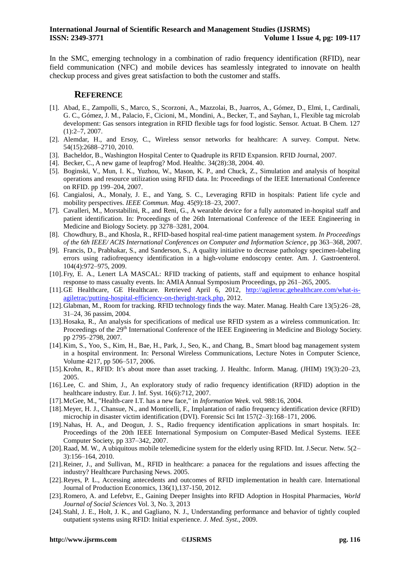In the SMC, emerging technology in a combination of radio frequency identification (RFID), near field communication (NFC) and mobile devices has seamlessly integrated to innovate on health checkup process and gives great satisfaction to both the customer and staffs.

#### **REFERENCE**

- <span id="page-7-7"></span>[1]. Abad, E., Zampolli, S., Marco, S., Scorzoni, A., Mazzolai, B., Juarros, A., Gómez, D., Elmi, I., Cardinali, G. C., Gómez, J. M., Palacio, F., Cicioni, M., Mondini, A., Becker, T., and Sayhan, I., Flexible tag microlab development: Gas sensors integration in RFID flexible tags for food logistic. Sensor. Actuat. B Chem. 127 (1):2–7, 2007.
- [2]. Alemdar, H., and Ersoy, C., Wireless sensor networks for healthcare: A survey. Comput. Netw. 54(15):2688–2710, 2010.
- <span id="page-7-9"></span>[3]. Bacheldor, B., Washington Hospital Center to Quadruple its RFID Expansion. RFID Journal, 2007.
- <span id="page-7-2"></span>[4]. Becker, C., A new game of leapfrog? Mod. Healthc. 34(28):38, 2004. 40.
- <span id="page-7-4"></span>[5]. Boginski, V., Mun, I. K., Yuzhou, W., Mason, K. P., and Chuck, Z., Simulation and analysis of hospital operations and resource utilization using RFID data. In: Proceedings of the IEEE International Conference on RFID. pp 199–204, 2007.
- <span id="page-7-3"></span>[6]. Cangialosi, A., Monaly, J. E., and Yang, S. C., Leveraging RFID in hospitals: Patient life cycle and mobility perspectives. *IEEE Commun. Mag.* 45(9):18–23, 2007.
- <span id="page-7-11"></span>[7]. Cavalleri, M., Morstabilini, R., and Reni, G., A wearable device for a fully automated in-hospital staff and patient identification. In: Proceedings of the 26th International Conference of the IEEE Engineering in Medicine and Biology Society. pp 3278–3281, 2004.
- <span id="page-7-5"></span>[8]. Chowdhury, B., and Khosla, R., RFID-based hospital real-time patient management system. *In Proceedings of the 6th IEEE/ ACIS International Conferences on Computer and Information Science*, pp 363–368, 2007.
- [9]. Francis, D., Prabhakar, S., and Sanderson, S., A quality initiative to decrease pathology specimen-labeling errors using radiofrequency identification in a high-volume endoscopy center. Am. J. Gastroenterol. 104(4):972–975, 2009.
- <span id="page-7-6"></span>[10].Fry, E. A., Lenert LA MASCAL: RFID tracking of patients, staff and equipment to enhance hospital response to mass casualty events. In: AMIA Annual Symposium Proceedings, pp 261–265, 2005.
- <span id="page-7-15"></span>[11].GE Healthcare, GE Healthcare. Retrieved April 6, 2012, [http://agiletrac.gehealthcare.com/what-is](http://agiletrac.gehealthcare.com/what-is-agiletrac/putting-hospital-efficiency-on-theright-track.php)[agiletrac/putting-hospital-efficiency-on-theright-track.php,](http://agiletrac.gehealthcare.com/what-is-agiletrac/putting-hospital-efficiency-on-theright-track.php) 2012.
- [12].Glabman, M., Room for tracking. RFID technology finds the way. Mater. Manag. Health Care 13(5):26–28, 31–24, 36 passim, 2004.
- <span id="page-7-14"></span>[13].Hosaka, R., An analysis for specifications of medical use RFID system as a wireless communication. In: Proceedings of the 29<sup>th</sup> International Conference of the IEEE Engineering in Medicine and Biology Society. pp 2795–2798, 2007.
- <span id="page-7-13"></span>[14].Kim, S., Yoo, S., Kim, H., Bae, H., Park, J., Seo, K., and Chang, B., Smart blood bag management system in a hospital environment. In: Personal Wireless Communications, Lecture Notes in Computer Science, Volume 4217, pp 506–517, 2006.
- <span id="page-7-12"></span>[15].Krohn, R., RFID: It's about more than asset tracking. J. Healthc. Inform. Manag. (JHIM) 19(3):20–23, 2005.
- <span id="page-7-1"></span>[16].Lee, C. and Shim, J., An exploratory study of radio frequency identification (RFID) adoption in the healthcare industry. Eur. J. Inf. Syst. 16(6):712, 2007.
- [17].McGee, M., "Health-care I.T. has a new face," in *Information Week*. vol. 988:16, 2004.
- <span id="page-7-10"></span>[18].Meyer, H. J., Chansue, N., and Monticelli, F., Implantation of radio frequency identification device (RFID) microchip in disaster victim identification (DVI). Forensic Sci Int 157(2–3):168–171, 2006.
- <span id="page-7-0"></span>[19].Nahas, H. A., and Deogun, J. S., Radio frequency identification applications in smart hospitals. In: Proceedings of the 20th IEEE International Symposium on Computer-Based Medical Systems. IEEE Computer Society, pp 337–342, 2007.
- [20].Raad, M. W., A ubiquitous mobile telemedicine system for the elderly using RFID. Int. J.Secur. Netw. 5(2– 3):156–164, 2010.
- <span id="page-7-8"></span>[21].Reiner, J., and Sullivan, M., RFID in healthcare: a panacea for the regulations and issues affecting the industry? Healthcare Purchasing News. 2005.
- [22].Reyes, P. L., Accessing antecedents and outcomes of RFID implementation in health care. International Journal of Production Economics, 136(1),137-150, 2012.
- [23].Romero, A. and Lefebvr, E., Gaining Deeper Insights into RFID Adoption in Hospital Pharmacies, *World Journal of Social Sciences* Vol. 3, No. 3, 2013
- [24].Stahl, J. E., Holt, J. K., and Gagliano, N. J., Understanding performance and behavior of tightly coupled outpatient systems using RFID: Initial experience. *J. Med. Syst*., 2009.